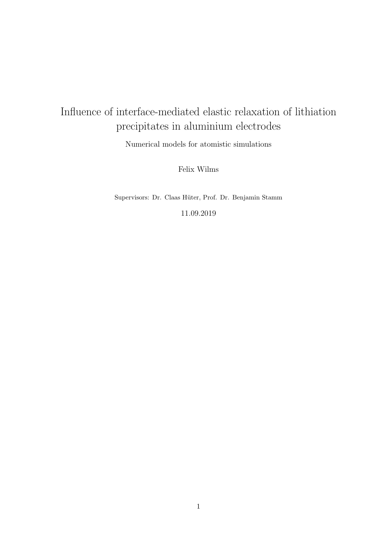# Influence of interface-mediated elastic relaxation of lithiation precipitates in aluminium electrodes

Numerical models for atomistic simulations

Felix Wilms

Supervisors: Dr. Claas Hüter, Prof. Dr. Benjamin Stamm

11.09.2019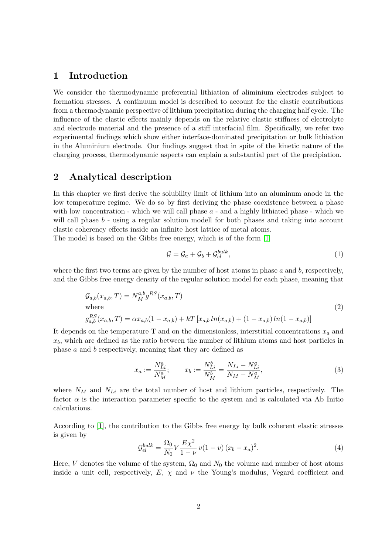### 1 Introduction

We consider the thermodynamic preferential lithiation of aliminium electrodes subject to formation stresses. A continuum model is described to account for the elastic contributions from a thermodynamic perspective of lithium precipitation during the charging half cycle. The influence of the elastic effects mainly depends on the relative elastic stiffness of electrolyte and electrode material and the presence of a stiff interfacial film. Specifically, we refer two experimental findings which show either interface-dominated precipitation or bulk lithiation in the Aluminium electrode. Our findings suggest that in spite of the kinetic nature of the charging process, thermodynamic aspects can explain a substantial part of the precipiation.

# 2 Analytical description

In this chapter we first derive the solubility limit of lithium into an aluminum anode in the low temperature regime. We do so by first deriving the phase coexistence between a phase with low concentration - which we will call phase  $a$  - and a highly lithiated phase - which we will call phase  $b$  - using a regular solution modell for both phases and taking into account elastic coherency effects inside an infinite host lattice of metal atoms.

The model is based on the Gibbs free energy, which is of the form [\[1\]](#page-12-0)

$$
\mathcal{G} = \mathcal{G}_a + \mathcal{G}_b + \mathcal{G}_{el}^{bulk},\tag{1}
$$

where the first two terms are given by the number of host atoms in phase  $a$  and  $b$ , respectively, and the Gibbs free energy density of the regular solution model for each phase, meaning that

$$
G_{a,b}(x_{a,b},T) = N_M^{a,b} g^{RS}(x_{a,b},T)
$$
  
where  

$$
g_{a,b}^{RS}(x_{a,b},T) = \alpha x_{a,b}(1 - x_{a,b}) + kT [x_{a,b} \ln(x_{a,b}) + (1 - x_{a,b}) \ln(1 - x_{a,b})]
$$
 (2)

It depends on the temperature T and on the dimensionless, interstitial concentrations  $x_a$  and  $x_b$ , which are defined as the ratio between the number of lithium atoms and host particles in phase a and b respectively, meaning that they are defined as

$$
x_a := \frac{N_{Li}^a}{N_M^a}; \qquad x_b := \frac{N_{Li}^b}{N_M^b} = \frac{N_{Li} - N_{Li}^a}{N_M - N_M^a},\tag{3}
$$

where  $N_M$  and  $N_{Li}$  are the total number of host and lithium particles, respectively. The factor  $\alpha$  is the interaction parameter specific to the system and is calculated via Ab Initio calculations.

According to [\[1\]](#page-12-0), the contribution to the Gibbs free energy by bulk coherent elastic stresses is given by

$$
\mathcal{G}_{el}^{bulk} = \frac{\Omega_0}{N_0} V \frac{E \chi^2}{1 - \nu} v (1 - v) (x_b - x_a)^2.
$$
 (4)

Here, V denotes the volume of the system,  $\Omega_0$  and  $N_0$  the volume and number of host atoms inside a unit cell, respectively,  $E$ ,  $\chi$  and  $\nu$  the Young's modulus, Vegard coefficient and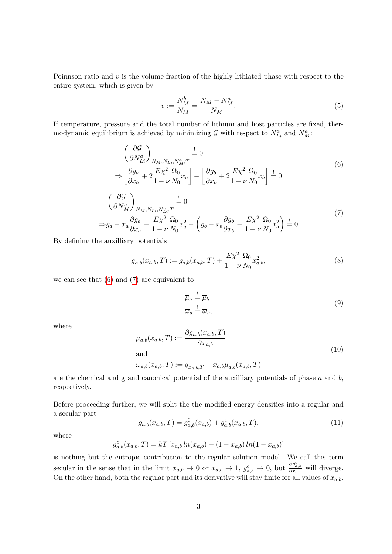Poinnson ratio and  $v$  is the volume fraction of the highly lithiated phase with respect to the entire system, which is given by

<span id="page-2-0"></span>
$$
v := \frac{N_M^b}{N_M} = \frac{N_M - N_M^a}{N_M}.\tag{5}
$$

If temperature, pressure and the total number of lithium and host particles are fixed, thermodynamic equilibrium is achieved by minimizing  $G$  with respect to  $N_{Li}^a$  and  $N_M^a$ :

$$
\left(\frac{\partial \mathcal{G}}{\partial N_{Li}^a}\right)_{N_M, N_{Li}, N_M^a, T} \stackrel{!}{=} 0
$$
\n
$$
\Rightarrow \left[\frac{\partial g_a}{\partial x_a} + 2\frac{E\chi^2}{1 - \nu} \frac{\Omega_0}{N_0} x_a\right] - \left[\frac{\partial g_b}{\partial x_b} + 2\frac{E\chi^2}{1 - \nu} \frac{\Omega_0}{N_0} x_b\right] \stackrel{!}{=} 0
$$
\n
$$
\left(\frac{\partial \mathcal{G}}{\partial N_M^a}\right)_{N_M, N_{Li}, N_{Li}^a, T} \stackrel{!}{=} 0
$$
\n
$$
\Rightarrow g_a - x_a \frac{\partial g_a}{\partial x_a} - \frac{E\chi^2}{1 - \nu} \frac{\Omega_0}{N_0} x_a^2 - \left(g_b - x_b \frac{\partial g_b}{\partial x_b} - \frac{E\chi^2}{1 - \nu} \frac{\Omega_0}{N_0} x_b^2\right) \stackrel{!}{=} 0
$$
\n
$$
(7)
$$

<span id="page-2-1"></span>By defining the auxilliary potentials

$$
\overline{g}_{a,b}(x_{a,b},T) := g_{a,b}(x_{a,b},T) + \frac{E\chi^2}{1-\nu} \frac{\Omega_0}{N_0} x_{a,b}^2,
$$
\n(8)

we can see that [\(6\)](#page-2-0) and [\(7\)](#page-2-1) are equivalent to

<span id="page-2-2"></span>
$$
\overline{\mu}_a \stackrel{!}{=} \overline{\mu}_b
$$
\n
$$
\overline{\omega}_a \stackrel{!}{=} \overline{\omega}_b,
$$
\n(9)

where

$$
\overline{\mu}_{a,b}(x_{a,b},T) := \frac{\partial \overline{g}_{a,b}(x_{a,b},T)}{\partial x_{a,b}}
$$
\nand\n
$$
(\overline{f}) \quad = \quad (-T) \quad = \quad (-T)
$$
\n(10)

$$
\overline{\omega}_{a,b}(x_{a,b},T) := \overline{g}_{x_{a,b},T} - x_{a,b}\overline{\mu}_{a,b}(x_{a,b},T)
$$

are the chemical and grand canonical potential of the auxilliary potentials of phase  $a$  and  $b$ , respectively.

Before proceeding further, we will split the the modified energy densities into a regular and a secular part

$$
\overline{g}_{a,b}(x_{a,b},T) = \overline{g}_{a,b}^{0}(x_{a,b}) + g_{a,b}^{c}(x_{a,b},T),
$$
\n(11)

where

$$
g_{a,b}^c(x_{a,b},T) = kT[x_{a,b}\ln(x_{a,b}) + (1-x_{a,b})\ln(1-x_{a,b})]
$$

is nothing but the entropic contribution to the regular solution model. We call this term secular in the sense that in the limit  $x_{a,b} \to 0$  or  $x_{a,b} \to 1$ ,  $g_{a,b}^c \to 0$ , but  $\frac{\partial g_{a,b}^c}{\partial x_{a,b}}$  will diverge. On the other hand, both the regular part and its derivative will stay finite for all values of  $x_{a,b}$ .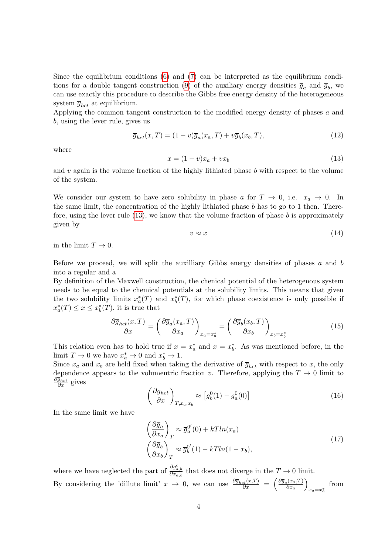Since the equilibrium conditions [\(6\)](#page-2-0) and [\(7\)](#page-2-1) can be interpreted as the equilibrium condi-tions for a double tangent construction [\(9\)](#page-2-2) of the auxiliary energy densities  $\bar{g}_a$  and  $\bar{g}_b$ , we can use exactly this procedure to describe the Gibbs free energy density of the heterogeneous system  $\overline{g}_{het}$  at equilibrium.

Applying the common tangent construction to the modified energy density of phases a and b, using the lever rule, gives us

$$
\overline{g}_{het}(x,T) = (1-v)\overline{g}_a(x_a,T) + v\overline{g}_b(x_b,T),\tag{12}
$$

<span id="page-3-0"></span>where

$$
x = (1 - v)x_a + vx_b \tag{13}
$$

and  $v$  again is the volume fraction of the highly lithiated phase  $b$  with respect to the volume of the system.

We consider our system to have zero solubility in phase a for  $T \to 0$ , i.e.  $x_a \to 0$ . In the same limit, the concentration of the highly lithiated phase  $b$  has to go to 1 then. Therefore, using the lever rule  $(13)$ , we know that the volume fraction of phase b is approximately given by

$$
v \approx x \tag{14}
$$

in the limit  $T \to 0$ .

Before we proceed, we will split the auxilliary Gibbs energy densities of phases  $a$  and  $b$ into a regular and a

By definition of the Maxwell construction, the chenical potential of the heterogenous system needs to be equal to the chemical potentials at the solubility limits. This means that given the two solubility limits  $x_a^*(T)$  and  $x_b^*(T)$ , for which phase coexistence is only possible if  $x^*_{a}(T) \leq x \leq x^*_{b}(T)$ , it is true that

<span id="page-3-1"></span>
$$
\frac{\partial \overline{g}_{het}(x,T)}{\partial x} = \left(\frac{\partial \overline{g}_a(x_a,T)}{\partial x_a}\right)_{x_a=x_a^*} = \left(\frac{\partial \overline{g}_b(x_b,T)}{\partial x_b}\right)_{x_b=x_b^*}
$$
(15)

This relation even has to hold true if  $x = x_a^*$  and  $x = x_b^*$ . As was mentioned before, in the limit  $T \to 0$  we have  $x_a^* \to 0$  and  $x_b^* \to 1$ .

Since  $x_a$  and  $x_b$  are held fixed when taking the derivative of  $\overline{g}_{het}$  with respect to x, the only dependence appears to the volumentric fraction v. Therefore, applying the  $T \to 0$  limit to  $\frac{\partial \overline{g}_{het}}{\partial x}$  gives

$$
\left(\frac{\partial \overline{g}_{het}}{\partial x}\right)_{T,x_a,x_b} \approx \left[\overline{g}_b^0(1) - \overline{g}_a^0(0)\right]
$$
\n(16)

In the same limit we have

$$
\left(\frac{\partial \overline{g}_a}{\partial x_a}\right)_T \approx \overline{g}_a^{0'}(0) + kT ln(x_a)
$$
\n
$$
\left(\frac{\partial \overline{g}_b}{\partial x_b}\right)_T \approx \overline{g}_b^{0'}(1) - kT ln(1 - x_b),
$$
\n(17)

where we have neglected the part of  $\frac{\partial g_{a,b}^c}{\partial x_{a,b}}$  that does not diverge in the  $T \to 0$  limit. By considering the 'dillute limit'  $x \to 0$ , we can use  $\frac{\partial \overline{g}_{het}(x,T)}{\partial x} = \begin{pmatrix} \frac{\partial \overline{g}_a(x_a,T)}{\partial x_a} \end{pmatrix}$  $\frac{d_i(x_a,T)}{\partial x_a}$  $x_a = x_a^*$ from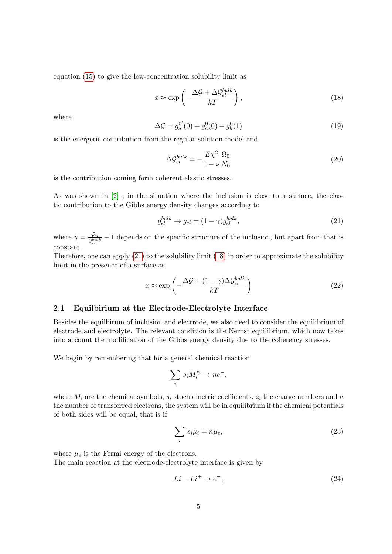equation [\(15\)](#page-3-1) to give the low-concentration solubility limit as

<span id="page-4-1"></span>
$$
x \approx \exp\left(-\frac{\Delta \mathcal{G} + \Delta \mathcal{G}_{el}^{bulk}}{kT}\right),\tag{18}
$$

where

$$
\Delta \mathcal{G} = g_a^{0'}(0) + g_a^{0}(0) - g_b^{0}(1) \tag{19}
$$

is the energetic contribution from the regular solution model and

$$
\Delta \mathcal{G}_{el}^{bulk} = -\frac{E\chi^2}{1-\nu} \frac{\Omega_0}{N_0} \tag{20}
$$

is the contribution coming form coherent elastic stresses.

As was shown in [\[2\]](#page-12-1) , in the situation where the inclusion is close to a surface, the elastic contribution to the Gibbs energy density changes according to

<span id="page-4-0"></span>
$$
g_{el}^{bulk} \to g_{el} = (1 - \gamma)g_{el}^{bulk},\tag{21}
$$

where  $\gamma = \frac{\mathcal{G}_{el}}{C^{bul}}$  $\frac{G_{el}}{G_{el}}$  – 1 depends on the specific structure of the inclusion, but apart from that is constant.

Therefore, one can apply [\(21\)](#page-4-0) to the solubility limit [\(18\)](#page-4-1) in order to approximate the solubility limit in the presence of a surface as

<span id="page-4-2"></span>
$$
x \approx \exp\left(-\frac{\Delta \mathcal{G} + (1 - \gamma)\Delta \mathcal{G}_{el}^{bulk}}{kT}\right) \tag{22}
$$

#### 2.1 Equilbirium at the Electrode-Electrolyte Interface

Besides the equilbirum of inclusion and electrode, we also need to consider the equilibrium of electrode and electrolyte. The relevant condition is the Nernst equilibrium, which now takes into account the modification of the Gibbs energy density due to the coherency stresses.

We begin by remembering that for a general chemical reaction

$$
\sum_i s_i M_i^{z_i} \to n e^-,
$$

where  $M_i$  are the chemical symbols,  $s_i$  stochiometric coefficients,  $z_i$  the charge numbers and n the number of transferred electrons, the system will be in equilibrium if the chemical potentials of both sides will be equal, that is if

$$
\sum_{i} s_i \mu_i = n \mu_e,\tag{23}
$$

where  $\mu_e$  is the Fermi energy of the electrons.

The main reaction at the electrode-electrolyte interface is given by

$$
Li - Li^{+} \rightarrow e^{-}, \tag{24}
$$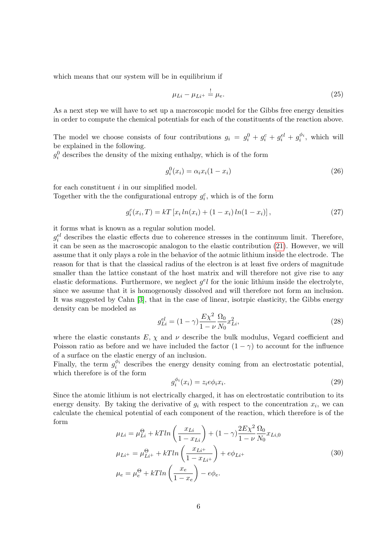which means that our system will be in equilibrium if

<span id="page-5-0"></span>
$$
\mu_{Li} - \mu_{Li^+} = \mu_e. \tag{25}
$$

As a next step we will have to set up a macroscopic model for the Gibbs free energy densities in order to compute the chemical potentials for each of the constituents of the reaction above.

The model we choose consists of four contributions  $g_i = g_i^0 + g_i^c + g_i^{el} + g_i^{\phi_i}$ , which will be explained in the following.

 $g_i^0$  describes the density of the mixing enthalpy, which is of the form

$$
g_i^0(x_i) = \alpha_i x_i (1 - x_i) \tag{26}
$$

for each constituent  $i$  in our simplified model.

Together with the the configurational entropy  $g_i^c$ , which is of the form

$$
g_i^c(x_i, T) = kT [x_i \ln(x_i) + (1 - x_i) \ln(1 - x_i)], \qquad (27)
$$

it forms what is known as a regular solution model.

 $g_i^{el}$  describes the elastic effects due to coherence stresses in the continuum limit. Therefore, it can be seen as the macroscopic analogon to the elastic contribution [\(21\)](#page-4-0). However, we will assume that it only plays a role in the behavior of the aotmic lithium inside the electrode. The reason for that is that the classical radius of the electron is at least five orders of magnitude smaller than the lattice constant of the host matrix and will therefore not give rise to any elastic deformations. Furthermore, we neglect  $g^e l$  for the ionic lithium inside the electrolyte, since we assume that it is homogenously dissolved and will therefore not form an inclusion. It was suggested by Cahn [\[3\]](#page-12-2), that in the case of linear, isotrpic elasticity, the Gibbs energy density can be modeled as

$$
g_{Li}^{el} = (1 - \gamma) \frac{E\chi^2}{1 - \nu} \frac{\Omega_0}{N_0} x_{Li}^2,
$$
\n(28)

where the elastic constants  $E, \chi$  and  $\nu$  describe the bulk modulus, Vegard coefficient and Poisson ratio as before and we have included the factor  $(1 - \gamma)$  to account for the influence of a surface on the elastic energy of an inclusion.

Finally, the term  $g_i^{\phi_i}$  describes the energy density coming from an electrostatic potential, which therefore is of the form

$$
g_i^{\phi_i}(x_i) = z_i e \phi_i x_i. \tag{29}
$$

Since the atomic lithium is not electrically charged, it has on electrostatic contribution to its energy density. By taking the derivative of  $g_i$  with respect to the concentration  $x_i$ , we can calculate the chemical potential of each component of the reaction, which therefore is of the form

$$
\mu_{Li} = \mu_{Li}^{\Theta} + kTln\left(\frac{x_{Li}}{1 - x_{Li}}\right) + (1 - \gamma)\frac{2E\chi^2}{1 - \nu}\frac{\Omega_0}{N_0}x_{Li,0}
$$
\n
$$
\mu_{Li^+} = \mu_{Li^+}^{\Theta} + kTln\left(\frac{x_{Li^+}}{1 - x_{Li^+}}\right) + e\phi_{Li^+}
$$
\n
$$
\mu_e = \mu_e^{\Theta} + kTln\left(\frac{x_e}{1 - x_e}\right) - e\phi_e.
$$
\n(30)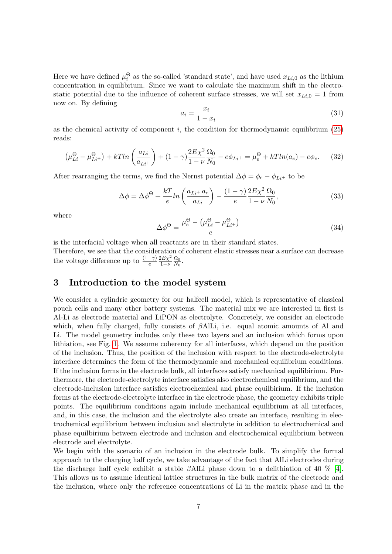Here we have defined  $\mu_i^{\Theta}$  as the so-called 'standard state', and have used  $x_{Li,0}$  as the lithium concentration in equilibrium. Since we want to calculate the maximum shift in the electrostatic potential due to the influence of coherent surface stresses, we will set  $x_{Li,0} = 1$  from now on. By defining

<span id="page-6-1"></span>
$$
a_i = \frac{x_i}{1 - x_i} \tag{31}
$$

as the chemical activity of component  $i$ , the condition for thermodynamic equilibrium [\(25\)](#page-5-0) reads:

$$
\left(\mu_{Li}^{\Theta} - \mu_{Li^+}^{\Theta}\right) + kTln\left(\frac{a_{Li}}{a_{Li^+}}\right) + (1 - \gamma)\frac{2E\chi^2}{1 - \nu}\frac{\Omega_0}{N_0} - e\phi_{Li^+} = \mu_e^{\Theta} + kTln(a_e) - e\phi_e. \tag{32}
$$

After rearranging the terms, we find the Nernst potential  $\Delta \phi = \phi_e - \phi_{Li^+}$  to be

$$
\Delta \phi = \Delta \phi^{\Theta} + \frac{kT}{e} \ln \left( \frac{a_{Li} + a_e}{a_{Li}} \right) - \frac{(1 - \gamma)}{e} \frac{2E \chi^2}{1 - \nu} \frac{\Omega_0}{N_0},\tag{33}
$$

where

$$
\Delta \phi^{\Theta} = \frac{\mu_e^{\Theta} - (\mu_{Li}^{\Theta} - \mu_{Li^+}^{\Theta})}{e}
$$
\n(34)

is the interfacial voltage when all reactants are in their standard states.

Therefore, we see that the consideration of coherent elastic stresses near a surface can decrease the voltage difference up to  $\frac{(1-\gamma)}{e}$  $2E\chi^2$  $\frac{2E\chi^2}{1-\nu}\frac{\Omega_0}{N_0}$  $\frac{\Omega_0}{N_0}$ .

#### <span id="page-6-0"></span>3 Introduction to the model system

We consider a cylindric geometry for our halfcell model, which is representative of classical pouch cells and many other battery systems. The material mix we are interested in first is Al-Li as electrode material and LiPON as electrolyte. Concretely, we consider an electrode which, when fully charged, fully consists of  $\beta$ AlLi, i.e. equal atomic amounts of Al and Li. The model geometry includes only these two layers and an inclusion which forms upon lithiation, see Fig. [1.](#page-8-0) We assume coherency for all interfaces, which depend on the position of the inclusion. Thus, the position of the inclusion with respect to the electrode-electrolyte interface determines the form of the thermodynamic and mechanical equilibrium conditions. If the inclusion forms in the electrode bulk, all interfaces satisfy mechanical equilibirium. Furthermore, the electrode-electrolyte interface satisfies also electrochemical equilibrium, and the electrode-inclusion interface satisfies electrochemical and phase equilbirium. If the inclusion forms at the electrode-electrolyte interface in the electrode phase, the geometry exhibits triple points. The equilibrium conditions again include mechanical equilibrium at all interfaces, and, in this case, the inclusion and the electrolyte also create an interface, resulting in electrochemical equilibrium between inclusion and electrolyte in addition to electrochemical and phase equilbirium between electrode and inclusion and electrochemical equilibrium between electrode and electrolyte.

We begin with the scenario of an inclusion in the electrode bulk. To simplify the formal approach to the charging half cycle, we take advantage of the fact that AlLi electrodes during the discharge half cycle exhibit a stable βAlLi phase down to a delithiation of 40 % [\[4\]](#page-12-3). This allows us to assume identical lattice structures in the bulk matrix of the electrode and the inclusion, where only the reference concentrations of Li in the matrix phase and in the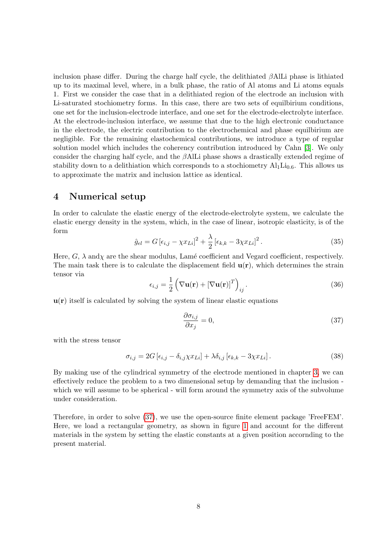inclusion phase differ. During the charge half cycle, the delithiated  $\beta$ AlLi phase is lithiated up to its maximal level, where, in a bulk phase, the ratio of Al atoms and Li atoms equals 1. First we consider the case that in a delithiated region of the electrode an inclusion with Li-saturated stochiometry forms. In this case, there are two sets of equilbirium conditions, one set for the inclusion-electrode interface, and one set for the electrode-electrolyte interface. At the electrode-inclusion interface, we assume that due to the high electronic conductance in the electrode, the electric contribution to the electrochemical and phase equilbirium are negligible. For the remaining elastochemical contributions, we introduce a type of regular solution model which includes the coherency contribution introduced by Cahn [\[3\]](#page-12-2). We only consider the charging half cycle, and the  $\beta$ AlLi phase shows a drastically extended regime of stability down to a delithiation which corresponds to a stochiometry  $Al_1Li_{0.6}$ . This allows us to approximate the matrix and inclusion lattice as identical.

#### 4 Numerical setup

In order to calculate the elastic energy of the electrode-electrolyte system, we calculate the elastic energy density in the system, which, in the case of linear, isotropic elasticity, is of the form

$$
\hat{g}_{el} = G \left[ \epsilon_{i,j} - \chi x_{Li} \right]^2 + \frac{\lambda}{2} \left[ \epsilon_{k,k} - 3\chi x_{Li} \right]^2. \tag{35}
$$

Here,  $G$ ,  $\lambda$  and  $\chi$  are the shear modulus, Lamé coefficient and Vegard coefficient, respectively. The main task there is to calculate the displacement field  $\mathbf{u}(\mathbf{r})$ , which determines the strain tensor via

$$
\epsilon_{i,j} = \frac{1}{2} \left( \nabla \mathbf{u}(\mathbf{r}) + [\nabla \mathbf{u}(\mathbf{r})]^T \right)_{ij}.
$$
 (36)

 $u(r)$  itself is calculated by solving the system of linear elastic equations

<span id="page-7-0"></span>
$$
\frac{\partial \sigma_{i,j}}{\partial x_j} = 0,\t\t(37)
$$

with the stress tensor

$$
\sigma_{i,j} = 2G \left[ \epsilon_{i,j} - \delta_{i,j} \chi x_{Li} \right] + \lambda \delta_{i,j} \left[ \epsilon_{k,k} - 3 \chi x_{Li} \right]. \tag{38}
$$

By making use of the cylindrical symmetry of the electrode mentioned in chapter [3,](#page-6-0) we can effectively reduce the problem to a two dimensional setup by demanding that the inclusion which we will assume to be spherical - will form around the symmetry axis of the subvolume under consideration.

Therefore, in order to solve [\(37\)](#page-7-0), we use the open-source finite element package 'FreeFEM'. Here, we load a rectangular geometry, as shown in figure [1](#page-8-0) and account for the different materials in the system by setting the elastic constants at a given position accornding to the present material.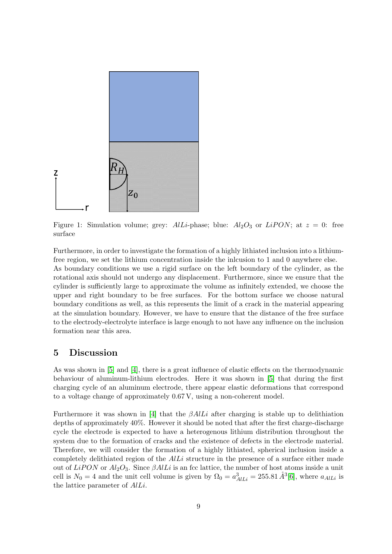

<span id="page-8-0"></span>Figure 1: Simulation volume; grey:  $AlLi$ -phase; blue:  $Al_2O_3$  or  $LiPON$ ; at  $z = 0$ : free surface

Furthermore, in order to investigate the formation of a highly lithiated inclusion into a lithiumfree region, we set the lithium concentration inside the inlcusion to 1 and 0 anywhere else. As boundary conditions we use a rigid surface on the left boundary of the cylinder, as the rotational axis should not undergo any displacement. Furthermore, since we ensure that the cylinder is sufficiently large to approximate the volume as infinitely extended, we choose the upper and right boundary to be free surfaces. For the bottom surface we choose natural boundary conditions as well, as this represents the limit of a crack in the material appearing at the simulation boundary. However, we have to ensure that the distance of the free surface to the electrody-electrolyte interface is large enough to not have any influence on the inclusion formation near this area.

#### 5 Discussion

As was shown in [\[5\]](#page-12-4) and [\[4\]](#page-12-3), there is a great influence of elastic effects on the thermodynamic behaviour of aluminum-lithium electrodes. Here it was shown in [\[5\]](#page-12-4) that during the first charging cycle of an aluminum electrode, there appear elastic deformations that correspond to a voltage change of approximately 0.67 V, using a non-coherent model.

Furthermore it was shown in [\[4\]](#page-12-3) that the  $\beta AllL$  after charging is stable up to delithiation depths of approximately 40%. However it should be noted that after the first charge-discharge cycle the electrode is expected to have a heterogenous lithium distribution throughout the system due to the formation of cracks and the existence of defects in the electrode material. Therefore, we will consider the formation of a highly lithiated, spherical inclusion inside a completely delithiated region of the  $Alli$  structure in the presence of a surface either made out of LiPON or  $Al_2O_3$ . Since  $\beta AlLi$  is an fcc lattice, the number of host atoms inside a unit cell is  $N_0 = 4$  and the unit cell volume is given by  $\Omega_0 = a_{ALLi}^3 = 255.81 \AA^3[6]$  $\Omega_0 = a_{ALLi}^3 = 255.81 \AA^3[6]$ , where  $a_{ALLi}$  is the lattice parameter of AlLi.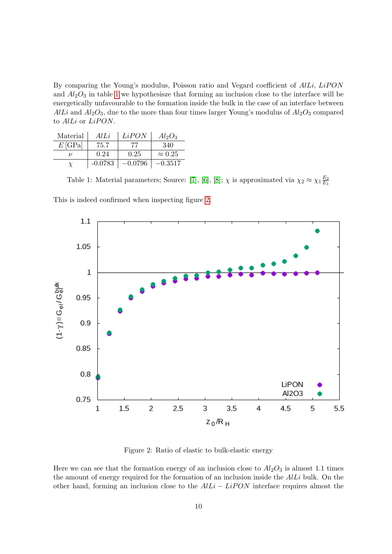By comparing the Young's modulus, Poisson ratio and Vegard coefficient of AlLi, LiPON and  $Al_2O_3$  in table [1](#page-9-0) we hypothesisze that forming an inclusion close to the interface will be energetically unfavourable to the formation inside the bulk in the case of an interface between AlLi and  $Al_2O_3$ , due to the more than four times larger Young's modulus of  $Al_2O_3$  compared to AlLi or LiPON.

| Material        | AlLi      | LiPON     | $Al_2O_3$      |
|-----------------|-----------|-----------|----------------|
| $E[\text{GPa}]$ | 75.7      | 77        | 340            |
|                 | 0.24      | 0.25      | $\approx 0.25$ |
|                 | $-0.0783$ | $-0.0796$ | $-0.3517$      |

<span id="page-9-0"></span>Table 1: Material parameters; Source: [\[7\]](#page-12-6), [\[6\]](#page-12-5), [\[8\]](#page-12-7);  $\chi$  is approximated via  $\chi_2 \approx \chi_1 \frac{E_2}{E_1}$  $E_1$ 

This is indeed confirmed when inspecting figure [2.](#page-9-1)



<span id="page-9-1"></span>Figure 2: Ratio of elastic to bulk-elastic energy

Here we can see that the formation energy of an inclusion close to  $Al_2O_3$  is almost 1.1 times the amount of energy required for the formation of an inclusion inside the  $AlLi$  bulk. On the other hand, forming an inclusion close to the  $AlLi - LiPON$  interface requires almost the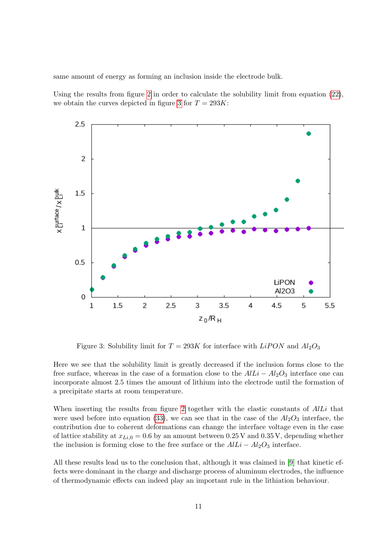same amount of energy as forming an inclusion inside the electrode bulk.

Using the results from figure [2](#page-9-1) in order to calculate the solubility limit from equation  $(22)$ , we obtain the curves depicted in figure [3](#page-10-0) for  $T = 293K$ :



<span id="page-10-0"></span>Figure 3: Solubility limit for  $T = 293K$  for interface with  $LiPON$  and  $Al_2O_3$ 

Here we see that the solubility limit is greatly decreased if the inclusion forms close to the free surface, whereas in the case of a formation close to the  $AlLi - Al<sub>2</sub>O<sub>3</sub>$  interface one can incorporate almost 2.5 times the amount of lithium into the electrode until the formation of a precipitate starts at room temperature.

When inserting the results from figure [2](#page-9-1) together with the elastic constants of AlLi that were used before into equation [\(33\)](#page-6-1), we can see that in the case of the  $Al_2O_3$  interface, the contribution due to coherent deformations can change the interface voltage even in the case of lattice stability at  $x_{Li,0} = 0.6$  by an amount between 0.25 V and 0.35 V, depending whether the inclusion is forming close to the free surface or the  $AlLi - Al<sub>2</sub>O<sub>3</sub>$  interface.

All these results lead us to the conclusion that, although it was claimed in [\[9\]](#page-12-8) that kinetic effects were dominant in the charge and discharge process of aluminum electrodes, the influence of thermodynamic effects can indeed play an important rule in the lithiation behaviour.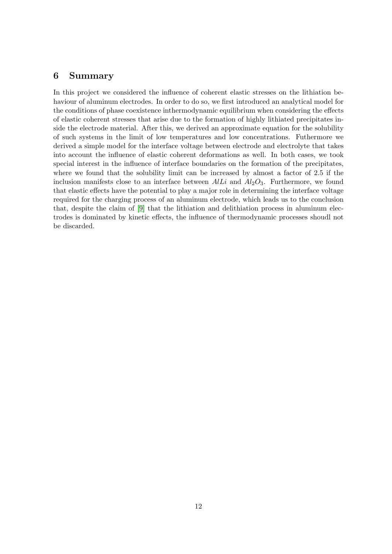#### 6 Summary

In this project we considered the influence of coherent elastic stresses on the lithiation behaviour of aluminum electrodes. In order to do so, we first introduced an analytical model for the conditions of phase coexistence inthermodynamic equilibrium when considering the effects of elastic coherent stresses that arise due to the formation of highly lithiated precipitates inside the electrode material. After this, we derived an approximate equation for the solubility of such systems in the limit of low temperatures and low concentrations. Futhermore we derived a simple model for the interface voltage between electrode and electrolyte that takes into account the influence of elastic coherent deformations as well. In both cases, we took special interest in the influence of interface boundaries on the formation of the precipitates, where we found that the solubility limit can be increased by almost a factor of 2.5 if the inclusion manifests close to an interface between  $AlLi$  and  $Al_2O_3$ . Furthermore, we found that elastic effects have the potential to play a major role in determining the interface voltage required for the charging process of an aluminum electrode, which leads us to the conclusion that, despite the claim of [\[9\]](#page-12-8) that the lithiation and delithiation process in aluminum electrodes is dominated by kinetic effects, the influence of thermodynamic processes shoudl not be discarded.